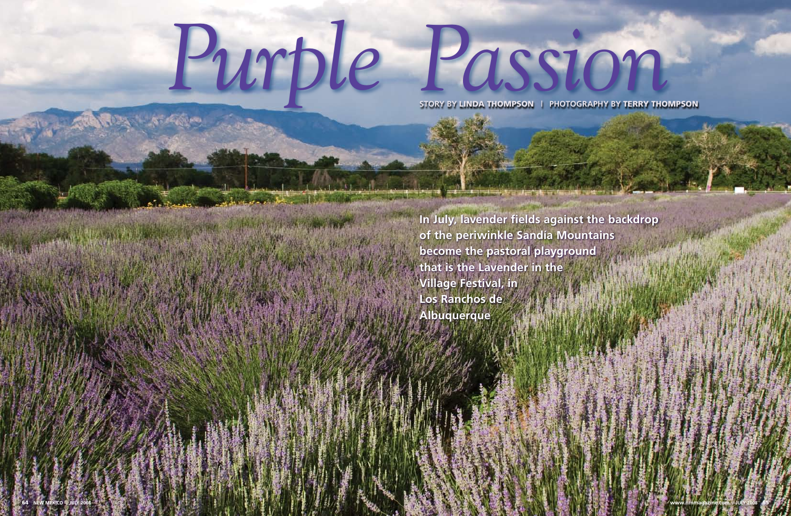# *Purple Passion*

**In July, lavender fields against the backdrop of the periwinkle Sandía Mountains become the pastoral playground that is the Lavender in the Village Festival, in Los Ranchos de Albuquerque**

**STORY BY** LINDA THOMPSON **| PHOTOGRAPHY BY** TERRY THOMPSON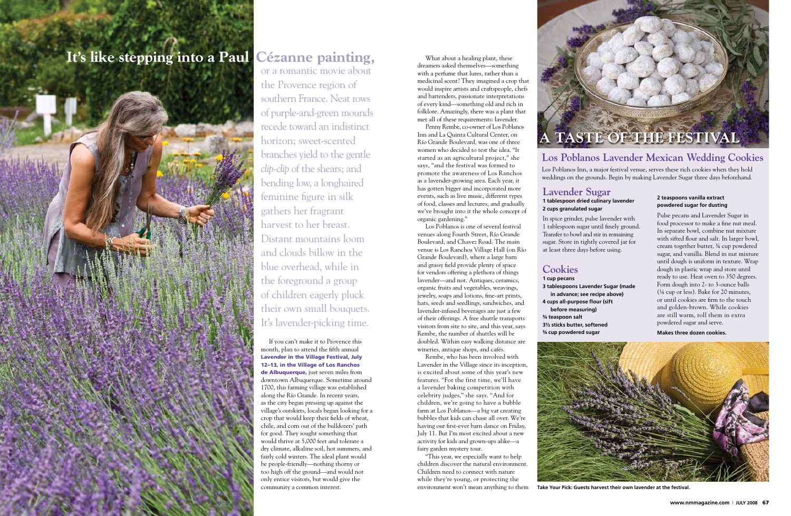If you can't make it to Provence this month, plan to attend the fifth annual Lavender in the Village Festival, July 12–13, in the Village of Los Ranchos de Albuquerque, just seven miles from downtown Albuquerque. Sometime around 1700, this farming village was established along the Río Grande. In recent years, as the city began pressing up against the village's outskirts, locals began looking for a crop that would keep their fields of wheat, chile, and corn out of the bulldozers' path for good. They sought something that would thrive at 5,000 feet and tolerate a dry climate, alkaline soil, hot summers, and fairly cold winters. The ideal plant would be people-friendly—nothing thorny or too high off the ground—and would not only entice visitors, but would give the community a common interest.

What about a healing plant, these dreamers asked themselves—something with a perfume that lures, rather than a medicinal scent? They imagined a crop that would inspire artists and craftspeople, chefs and bartenders, passionate interpretations of every kind—something old and rich in folklore. Amazingly, there was a plant that met all of these requirements: lavender.

Penny Rembe, co-owner of Los Poblanos Inn and La Quinta Cultural Center, on Río Grande Boulevard, was one of three women who decided to test the idea. "It started as an agricultural project," she says, "and the festival was formed to promote the awareness of Los Ranchos as a lavender-growing area. Each year, it has gotten bigger and incorporated more events, such as live music, different types of food, classes and lectures, and gradually we've brought into it the whole concept of organic gardening."

Los Poblanos is one of several festival venues along Fourth Street, Río Grande Boulevard, and Chavez Road. The main venue is Los Ranchos Village Hall (on Río Grande Boulevard), where a large barn and grassy field provide plenty of space for vendors offering a plethora of things lavender—and not. Antiques, ceramics, organic fruits and vegetables, weavings, jewelry, soaps and lotions, fine-art prints, hats, seeds and seedlings, sandwiches, and lavender-infused beverages are just a few of their offerings. A free shuttle transports visitors from site to site, and this year, says Rembe, the number of shuttles will be doubled. Within easy walking distance are wineries, antique shops, and cafés.

Rembe, who has been involved with Lavender in the Village since its inception, is excited about some of this year's new features. "For the first time, we'll have a lavender baking competition with celebrity judges," she says. "And for children, we're going to have a bubble farm at Los Poblanos—a big vat creating bubbles that kids can chase all over. We're having our first-ever barn dance on Friday, July 11. But I'm most excited about a new activity for kids and grown-ups alike—a fairy garden mystery tour.

"This year, we especially want to help children discover the natural environment. Children need to connect with nature while they're young, or protecting the environment won't mean anything to them

# **It's like stepping into a Paul Cézanne painting,**

or a romantic movie about the Provence region of southern France. Neat rows of purple-and-green mounds recede toward an indistinct horizon; sweet-scented branches yield to the gentle *clip-clip* of the shears; and bending low, a longhaired feminine figure in silk gathers her fragrant harvest to her breast. Distant mountains loom and clouds billow in the blue overhead, while in the foreground a group of children eagerly pluck their own small bouquets. It's lavender-picking time.

## **Lavender Sugar 1 tablespoon dried culinary lavender 2 cups granulated sugar**

In spice grinder, pulse lavender with 1 tablespoon sugar until finely ground. Transfer to bowl and stir in remaining sugar. Store in tightly covered jar for at least three days before using.

# **Cookies**

**1 cup pecans 3 tablespoons Lavender Sugar (made in advance; see recipe above) 4 cups all-purpose flour (sift before measuring)**

**¾ teaspoon salt 3½ sticks butter, softened ¾ cup powdered sugar**





# **Los Poblanos Lavender Mexican Wedding Cookies**

Los Poblanos Inn, a major festival venue, serves these rich cookies when they hold weddings on the grounds. Begin by making Lavender Sugar three days beforehand.

### **2 teaspoons vanilla extract powdered sugar for dusting**

Pulse pecans and Lavender Sugar in food processor to make a fine nut meal. In separate bowl, combine nut mixture with sifted flour and salt. In larger bowl, cream together butter, ¾ cup powdered sugar, and vanilla. Blend in nut mixture until dough is uniform in texture. Wrap dough in plastic wrap and store until ready to use. Heat oven to 350 degrees. Form dough into 2- to 3-ounce balls (¼ cup or less). Bake for 20 minutes, or until cookies are firm to the touch and golden-brown. While cookies are still warm, roll them in extra powdered sugar and serve.

**Makes three dozen cookies.**

**Take Your Pick: Guests harvest their own lavender at the festival.**